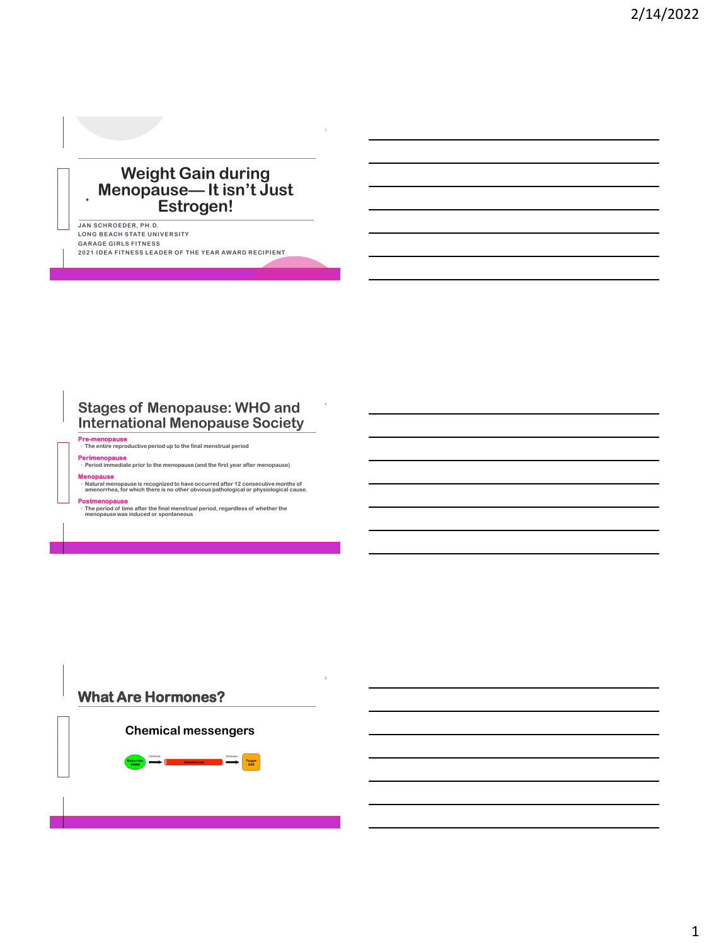### **Weight Gain during Menopause— It isn't Just Estrogen!**

**JAN SCHROEDER, PH.D. LONG BEACH STATE UNIVERSITY GARAGE GIRLS FITNESS 2021 IDEA FITNESS LEADER OF THE YEAR AWARD RECIPIENT**

#### **Stages of Menopause: WHO and International Menopause Society**

**Pre-menopause** ◦ **The entire reproductive period up to the final menstrual period**

**Perimenopause** ◦ **Period immediate prior to the menopause (and the first year after menopause)**

**Menopause**

**T H C O F F E E**

**T H C O F F E E**

◦ **Natural menopause is recognized to have occurred after 12 consecutive months of amenorrhea, for which there is no other obvious pathological or physiological cause.**

**Postmenopause** ◦ **The period of time after the final menstrual period, regardless of whether the menopause was induced or spontaneous**

# **What Are Hormones? T H C O F F E E Chemical messengers**Target<br>Cell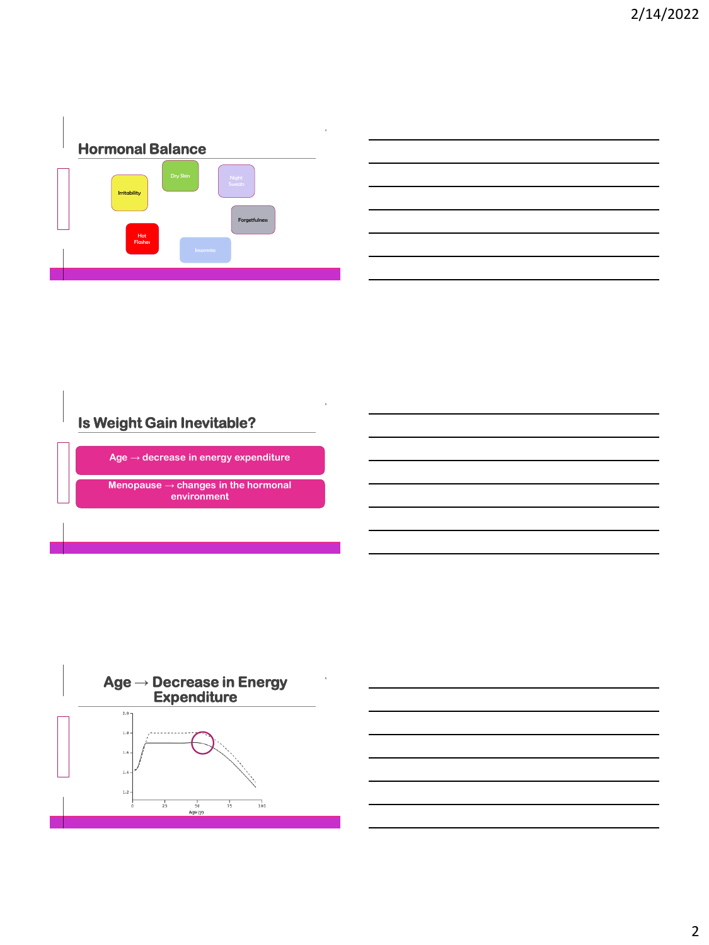



# **Is Weight Gain Inevitable?**

**T H C O F F E E**

**Age** → **decrease in energy expenditure**

**Menopause** → **changes in the hormonal environment** 

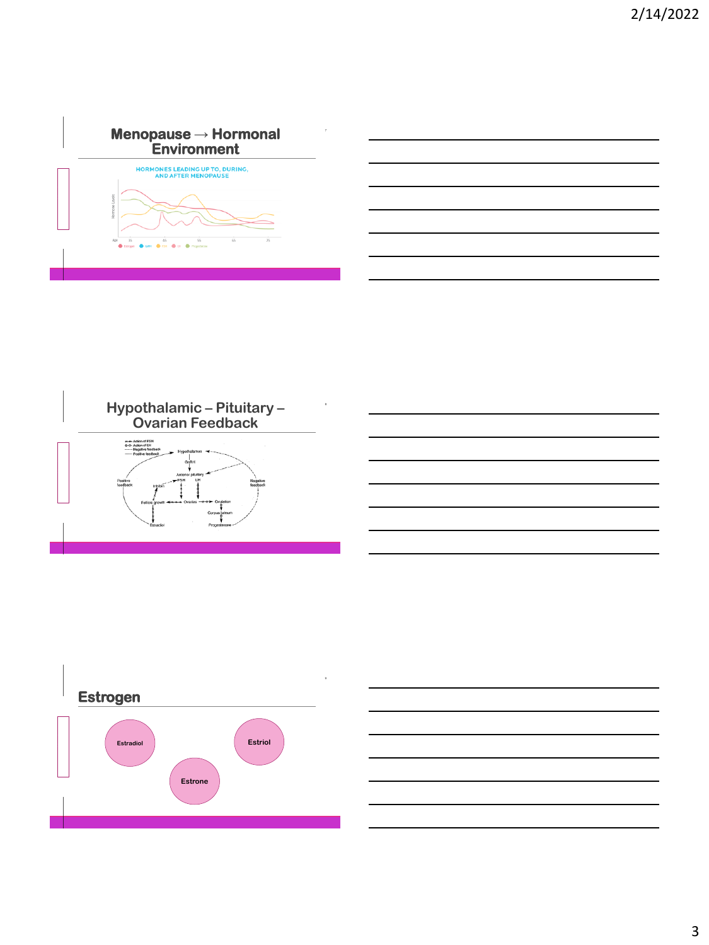



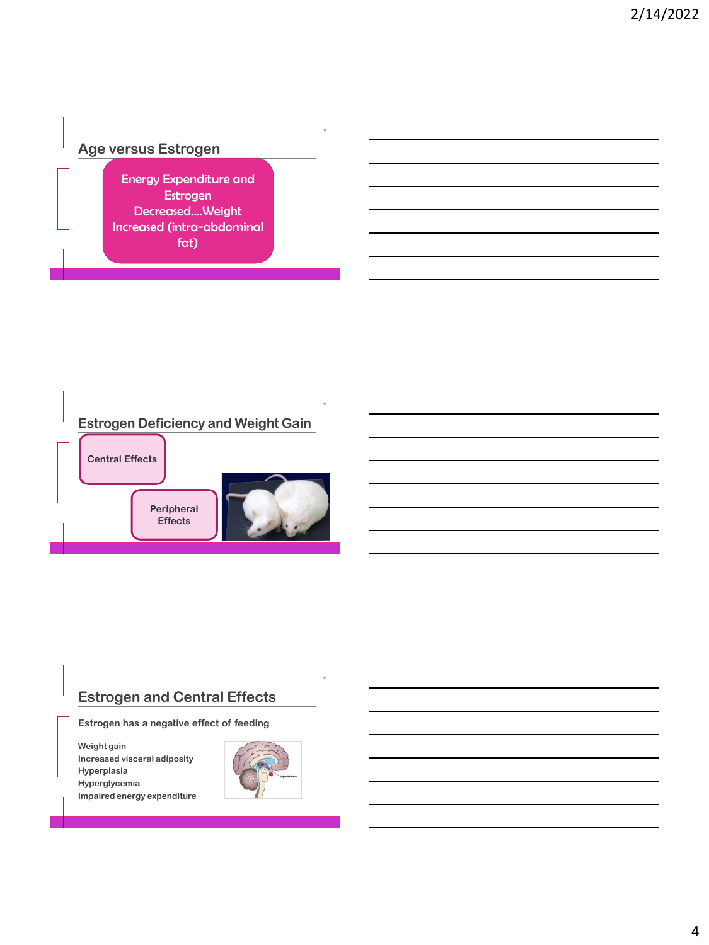## **Age versus Estrogen**

**T H C O F F E E**

Energy Expenditure and Estrogen Decreased….Weight Increased (intra-abdominal fat)



### **Estrogen and Central Effects**

**Estrogen has a negative effect of feeding**

**Weight gain Increased visceral adiposity Hyperplasia Hyperglycemia Impaired energy expenditure**

**T H C O F F E E**

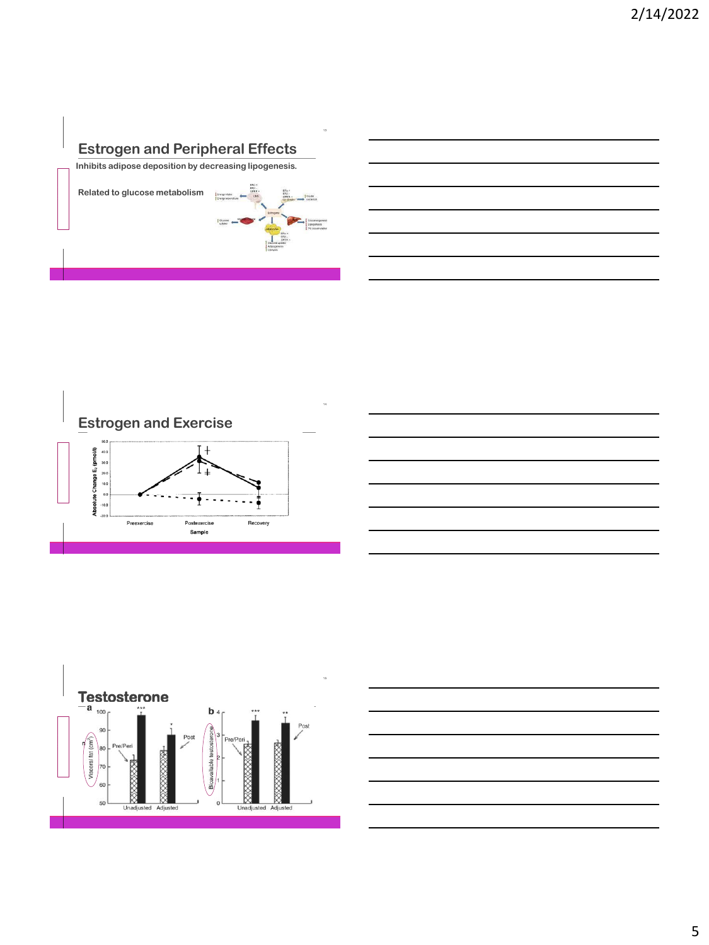## **Estrogen and Peripheral Effects**

**Inhibits adipose deposition by decreasing lipogenesis.** 

**Related to glucose metabolism**

**T H C O F F E E**

| Energy Intake<br>Energy expenditure | ERic +<br>$ERL -$<br>GPER +<br>CHS | -ERic v<br>$DBB -$<br>$GPR +$<br>Bit & cell                        | treater.<br>secretion                             |
|-------------------------------------|------------------------------------|--------------------------------------------------------------------|---------------------------------------------------|
| <b>E Glucose</b><br>uptake          |                                    | Estropera<br>adgivenias<br>ERu                                     | Gluconecopeness<br>Lipocenesis<br>TO accuredation |
|                                     |                                    | ERS-<br>GPER +<br>Clubosa uptaka<br>Adooganesis<br><b>Upolysis</b> |                                                   |





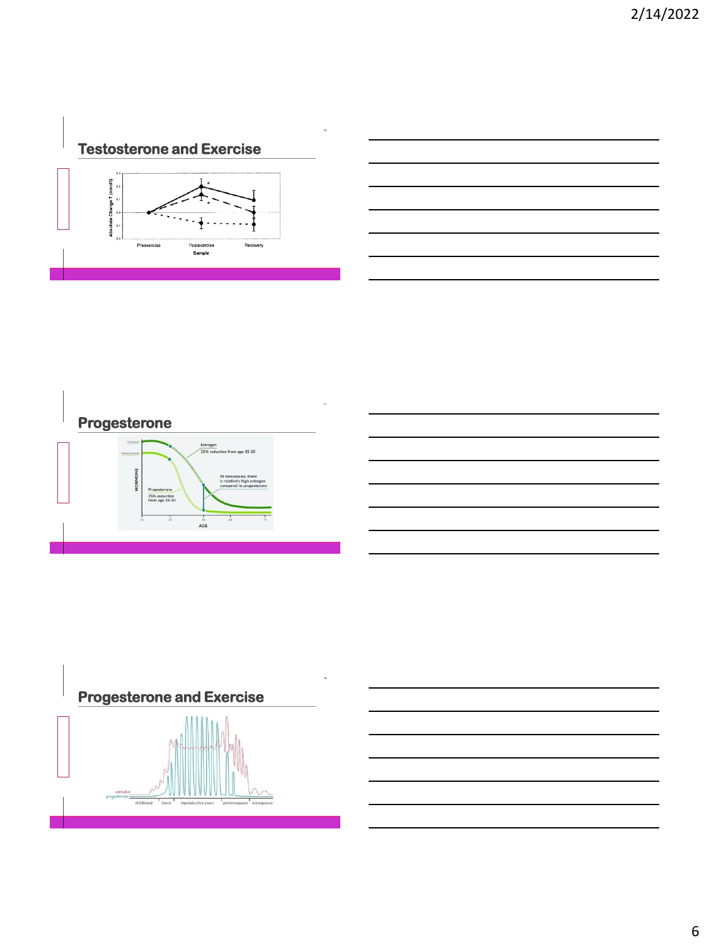**Testosterone and Exercise**





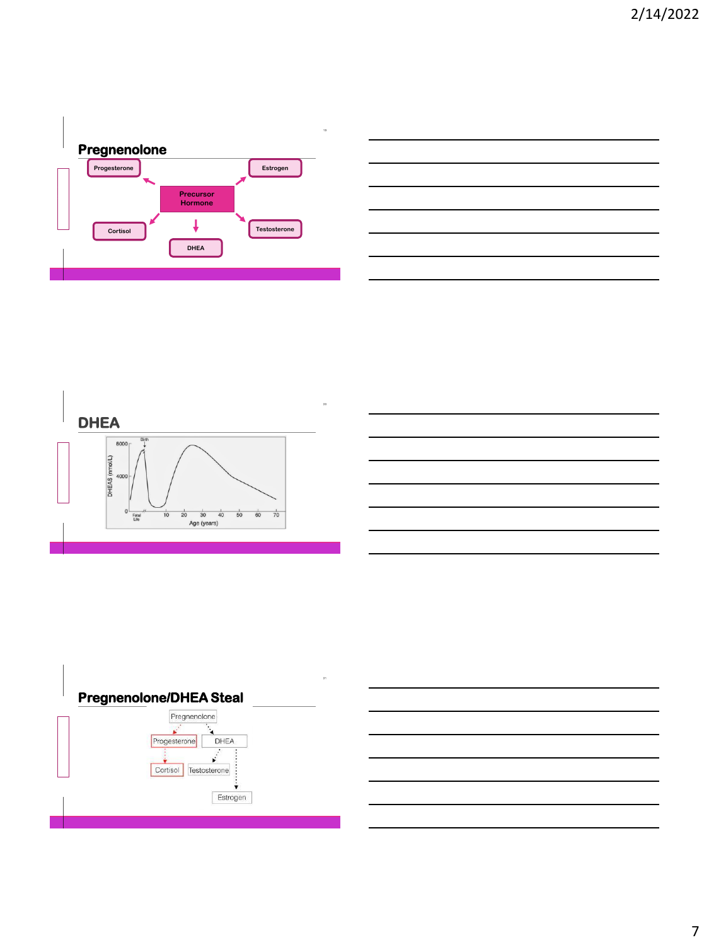





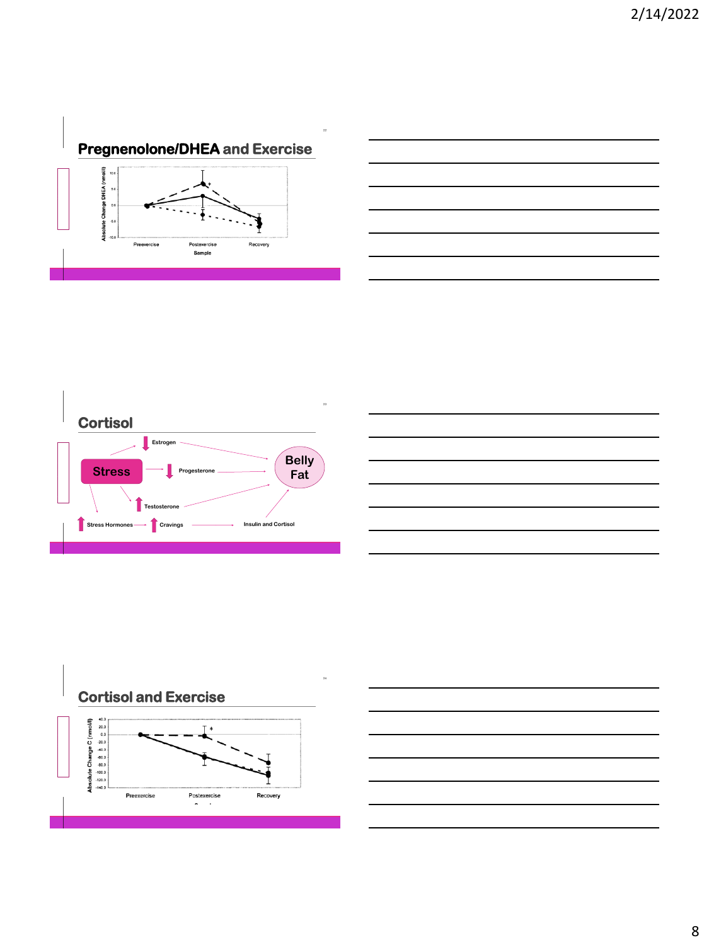









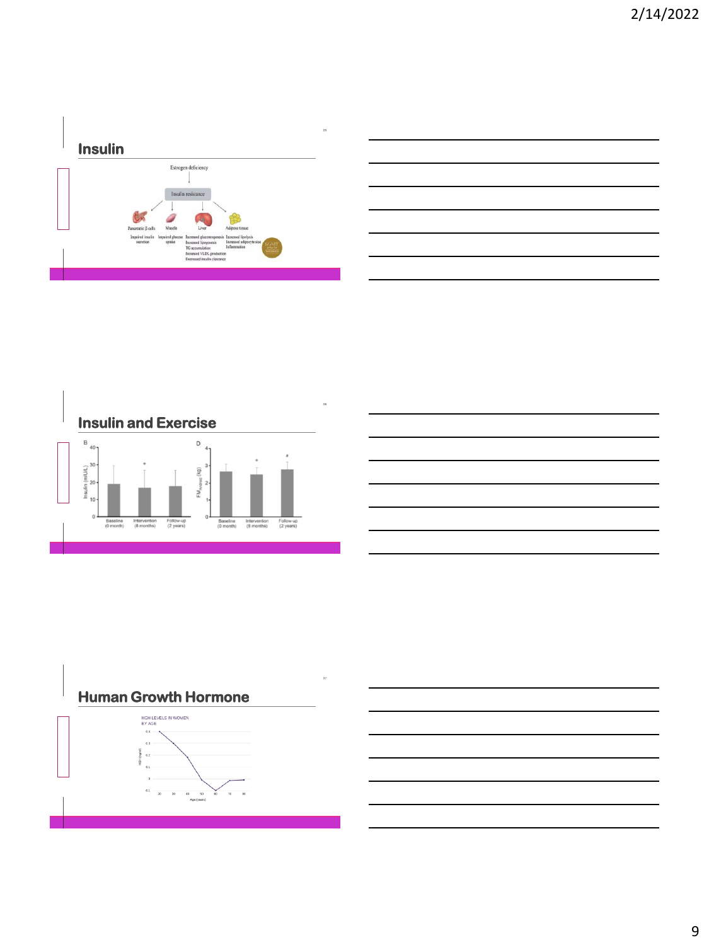



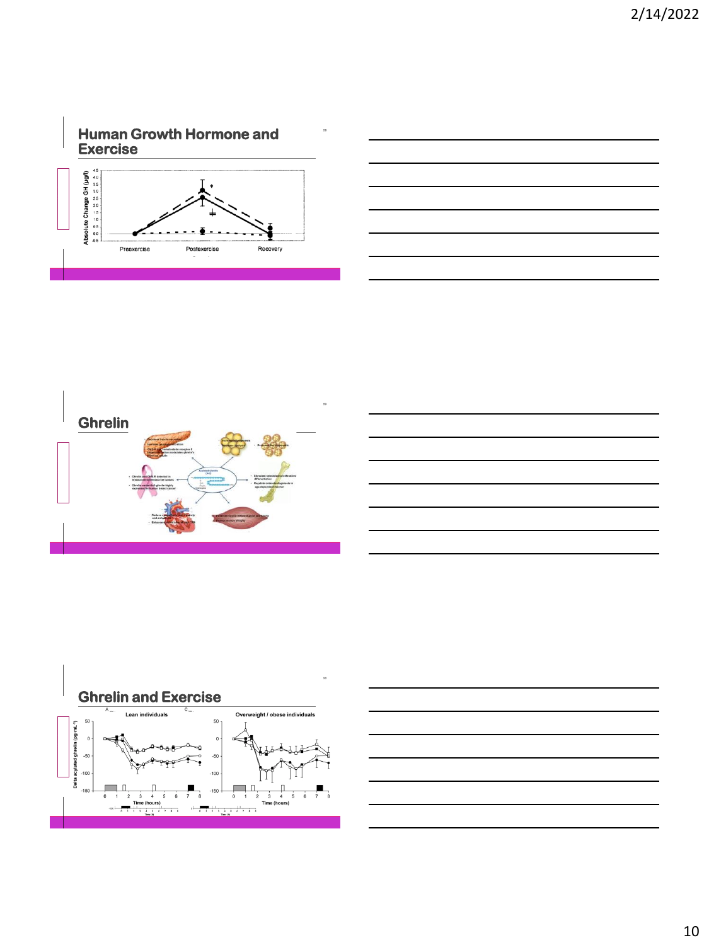







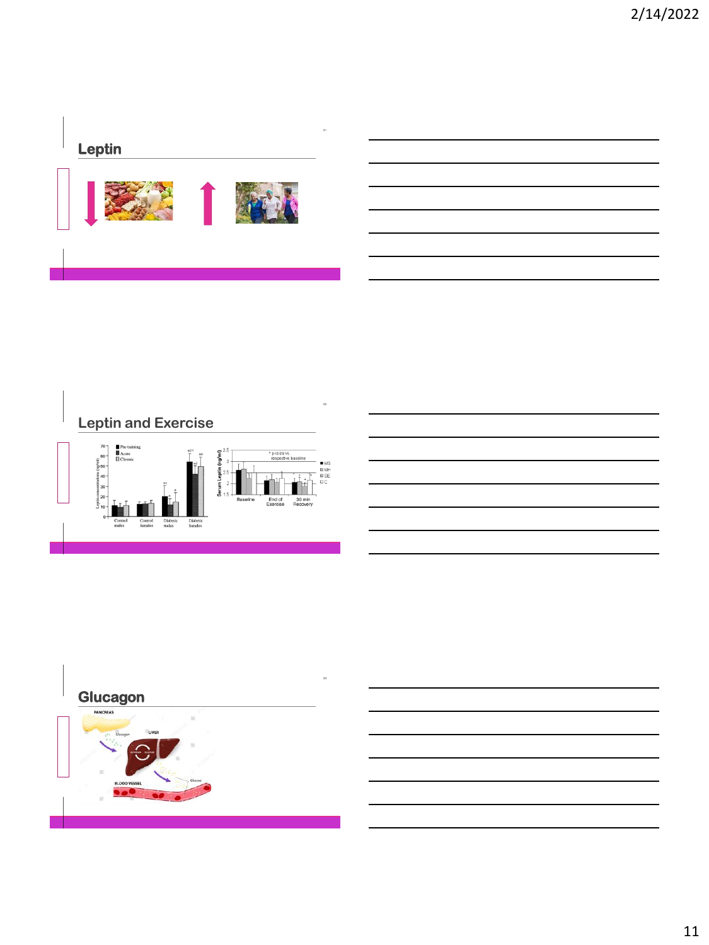## **Leptin**





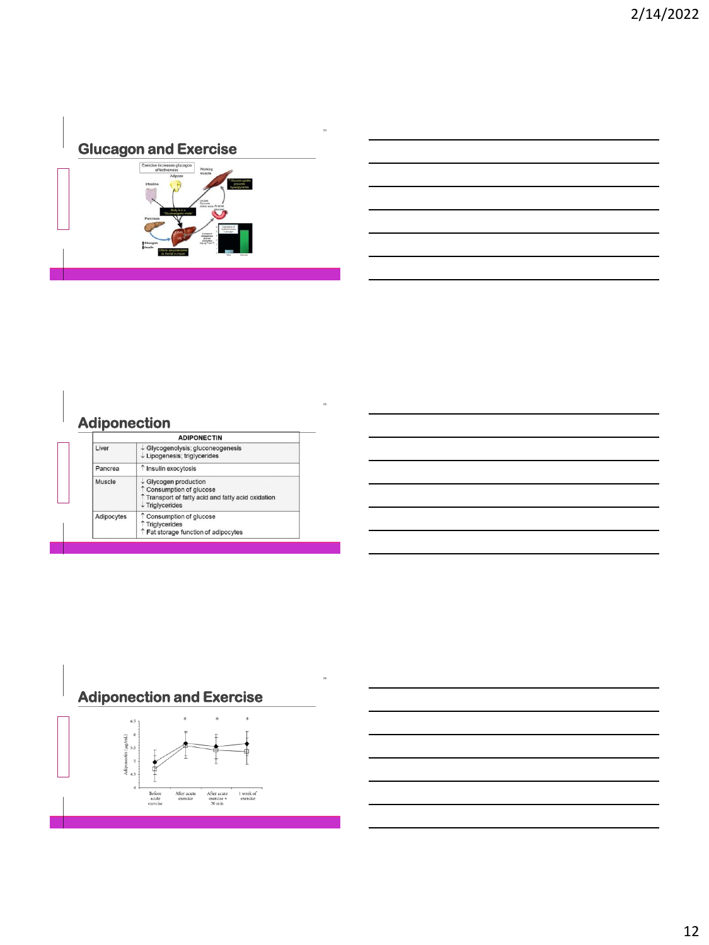## **Glucagon and Exercise**

**T H C O F F E E**



## **Adiponection**

| <b>ADIPONECTIN</b> |                                                                                                                                                |  |
|--------------------|------------------------------------------------------------------------------------------------------------------------------------------------|--|
| Liver              | ↓ Glycogenolysis; gluconeogenesis<br>$\downarrow$ Lipogenesis; triglycerides                                                                   |  |
| Pancrea            | ↑ Insulin exocytosis                                                                                                                           |  |
| Muscle             | $\downarrow$ Glycogen production<br>↑ Consumption of alucose<br>Transport of fatty acid and fatty acid oxidation<br>$\downarrow$ Triglycerides |  |
| Adipocytes         | ↑ Consumption of glucose<br>↑ Triglycerides<br>↑ Fat storage function of adipocytes                                                            |  |



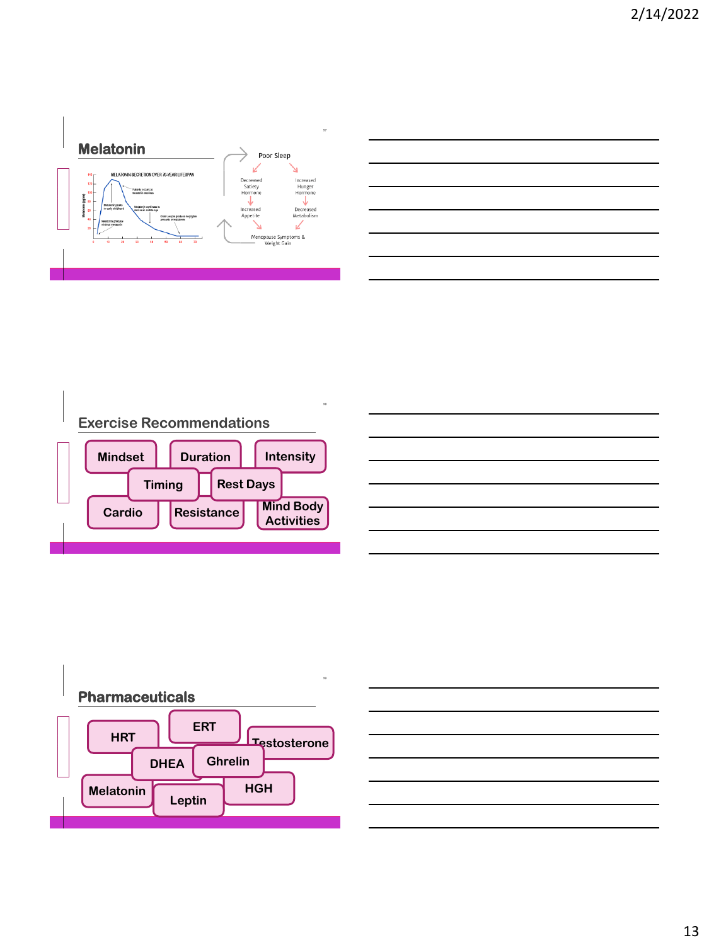



 **T H C O F F E E Exercise Recommendations Mindset Mind Body Activities Cardio Duration Intensity Resistance Timing Rest Days**